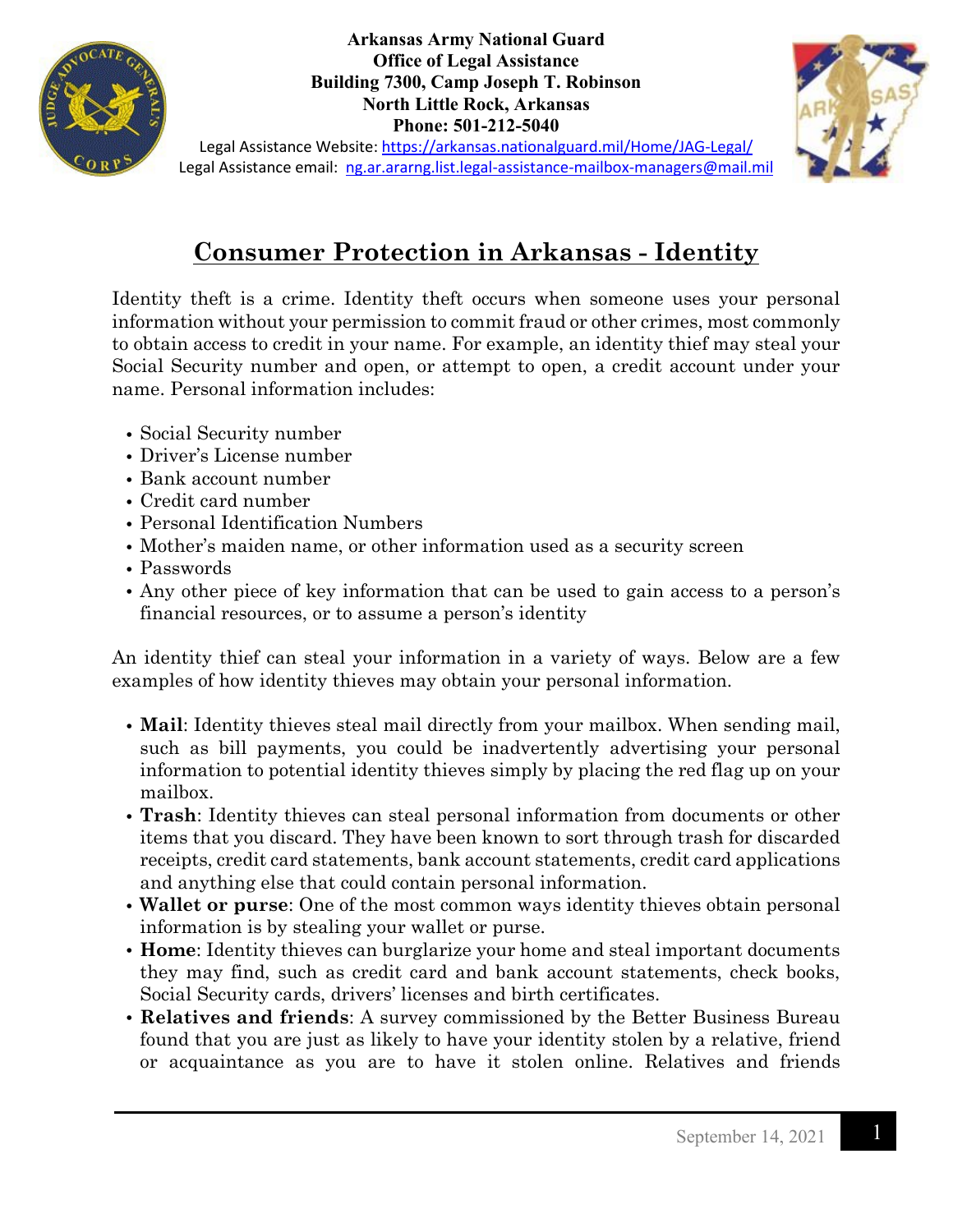

**Arkansas Army National Guard Office of Legal Assistance Building 7300, Camp Joseph T. Robinson North Little Rock, Arkansas Phone: 501-212-5040**



Legal Assistance Website:<https://arkansas.nationalguard.mil/Home/JAG-Legal/> Legal Assistance email: [ng.ar.ararng.list.legal-assistance-mailbox-managers@mail.mil](mailto:ng.ar.ararng.list.legal-assistance-mailbox-managers@mail.mil)

## **Consumer Protection in Arkansas - Identity**

Identity theft is a crime. Identity theft occurs when someone uses your personal information without your permission to commit fraud or other crimes, most commonly to obtain access to credit in your name. For example, an identity thief may steal your Social Security number and open, or attempt to open, a credit account under your name. Personal information includes:

- Social Security number
- Driver's License number
- Bank account number
- Credit card number
- Personal Identification Numbers
- Mother's maiden name, or other information used as a security screen
- Passwords
- Any other piece of key information that can be used to gain access to a person's financial resources, or to assume a person's identity

An identity thief can steal your information in a variety of ways. Below are a few examples of how identity thieves may obtain your personal information.

- **Mail**: Identity thieves steal mail directly from your mailbox. When sending mail, such as bill payments, you could be inadvertently advertising your personal information to potential identity thieves simply by placing the red flag up on your mailbox.
- **Trash**: Identity thieves can steal personal information from documents or other items that you discard. They have been known to sort through trash for discarded receipts, credit card statements, bank account statements, credit card applications and anything else that could contain personal information.
- **Wallet or purse**: One of the most common ways identity thieves obtain personal information is by stealing your wallet or purse.
- **Home**: Identity thieves can burglarize your home and steal important documents they may find, such as credit card and bank account statements, check books, Social Security cards, drivers' licenses and birth certificates.
- **Relatives and friends**: A survey commissioned by the Better Business Bureau found that you are just as likely to have your identity stolen by a relative, friend or acquaintance as you are to have it stolen online. Relatives and friends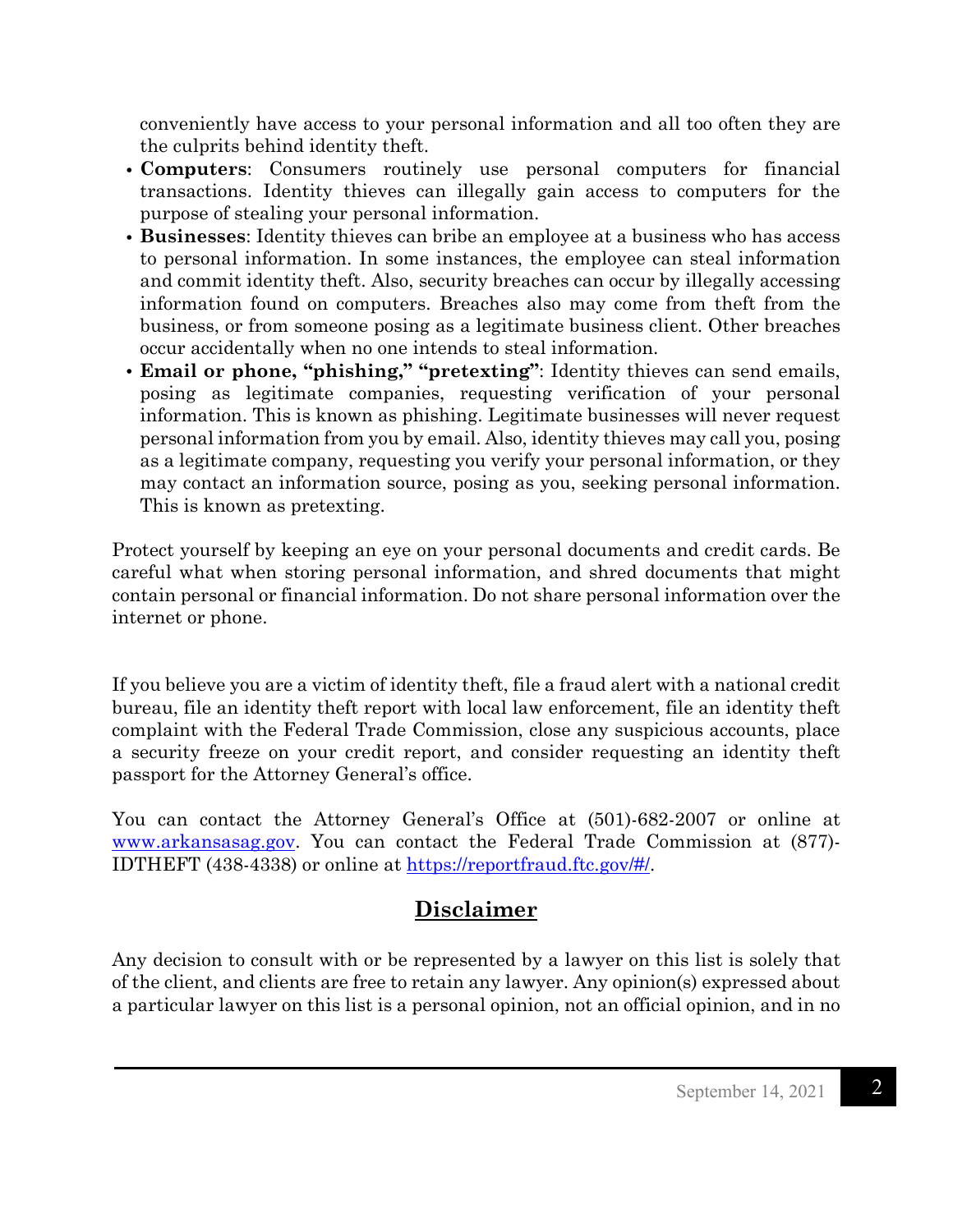conveniently have access to your personal information and all too often they are the culprits behind identity theft.

- **Computers**: Consumers routinely use personal computers for financial transactions. Identity thieves can illegally gain access to computers for the purpose of stealing your personal information.
- **Businesses**: Identity thieves can bribe an employee at a business who has access to personal information. In some instances, the employee can steal information and commit identity theft. Also, security breaches can occur by illegally accessing information found on computers. Breaches also may come from theft from the business, or from someone posing as a legitimate business client. Other breaches occur accidentally when no one intends to steal information.
- **Email or phone, "phishing," "pretexting"**: Identity thieves can send emails, posing as legitimate companies, requesting verification of your personal information. This is known as phishing. Legitimate businesses will never request personal information from you by email. Also, identity thieves may call you, posing as a legitimate company, requesting you verify your personal information, or they may contact an information source, posing as you, seeking personal information. This is known as pretexting.

Protect yourself by keeping an eye on your personal documents and credit cards. Be careful what when storing personal information, and shred documents that might contain personal or financial information. Do not share personal information over the internet or phone.

If you believe you are a victim of identity theft, file a fraud alert with a national credit bureau, file an identity theft report with local law enforcement, file an identity theft complaint with the Federal Trade Commission, close any suspicious accounts, place a security freeze on your credit report, and consider requesting an identity theft passport for the Attorney General's office.

You can contact the Attorney General's Office at (501)-682-2007 or online at [www.arkansasag.gov.](http://www.arkansasag.gov/) You can contact the Federal Trade Commission at (877)- IDTHEFT (438-4338) or online at [https://reportfraud.ftc.gov/#/.](https://reportfraud.ftc.gov/#/)

## **Disclaimer**

Any decision to consult with or be represented by a lawyer on this list is solely that of the client, and clients are free to retain any lawyer. Any opinion(s) expressed about a particular lawyer on this list is a personal opinion, not an official opinion, and in no